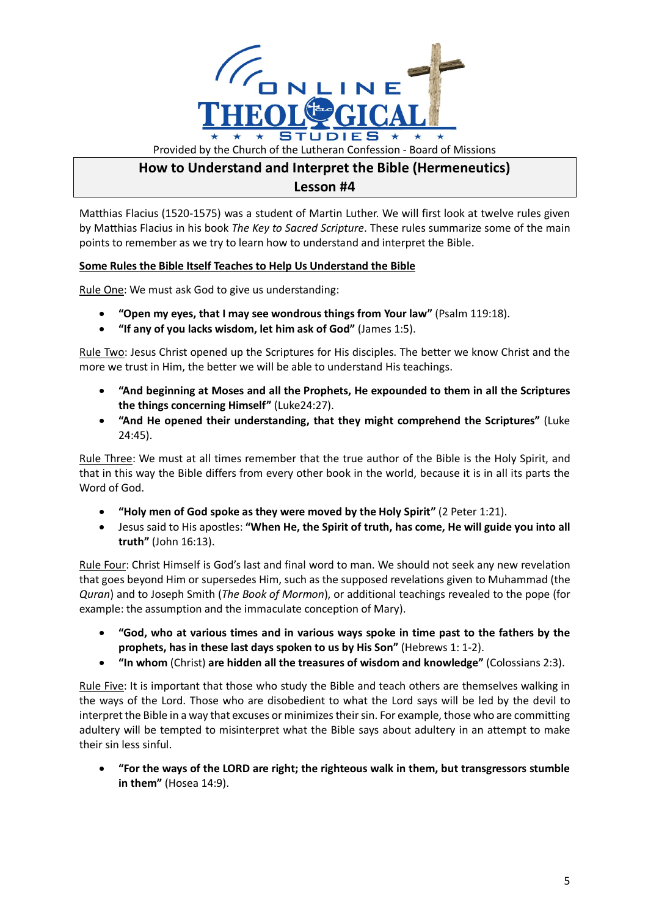

## **How to Understand and Interpret the Bible (Hermeneutics) Lesson #4**

Matthias Flacius (1520-1575) was a student of Martin Luther. We will first look at twelve rules given by Matthias Flacius in his book *The Key to Sacred Scripture*. These rules summarize some of the main points to remember as we try to learn how to understand and interpret the Bible.

## **Some Rules the Bible Itself Teaches to Help Us Understand the Bible**

Rule One: We must ask God to give us understanding:

- **"Open my eyes, that I may see wondrous things from Your law"** (Psalm 119:18).
- **"If any of you lacks wisdom, let him ask of God"** (James 1:5).

Rule Two: Jesus Christ opened up the Scriptures for His disciples. The better we know Christ and the more we trust in Him, the better we will be able to understand His teachings.

- **"And beginning at Moses and all the Prophets, He expounded to them in all the Scriptures the things concerning Himself"** (Luke24:27).
- **"And He opened their understanding, that they might comprehend the Scriptures"** (Luke 24:45).

Rule Three: We must at all times remember that the true author of the Bible is the Holy Spirit, and that in this way the Bible differs from every other book in the world, because it is in all its parts the Word of God.

- **"Holy men of God spoke as they were moved by the Holy Spirit"** (2 Peter 1:21).
- Jesus said to His apostles: **"When He, the Spirit of truth, has come, He will guide you into all truth"** (John 16:13).

Rule Four: Christ Himself is God's last and final word to man. We should not seek any new revelation that goes beyond Him or supersedes Him, such as the supposed revelations given to Muhammad (the *Quran*) and to Joseph Smith (*The Book of Mormon*), or additional teachings revealed to the pope (for example: the assumption and the immaculate conception of Mary).

- **"God, who at various times and in various ways spoke in time past to the fathers by the prophets, has in these last days spoken to us by His Son"** (Hebrews 1: 1-2).
- **"In whom** (Christ) **are hidden all the treasures of wisdom and knowledge"** (Colossians 2:3).

Rule Five: It is important that those who study the Bible and teach others are themselves walking in the ways of the Lord. Those who are disobedient to what the Lord says will be led by the devil to interpret the Bible in a way that excuses or minimizes their sin. For example, those who are committing adultery will be tempted to misinterpret what the Bible says about adultery in an attempt to make their sin less sinful.

• **"For the ways of the LORD are right; the righteous walk in them, but transgressors stumble in them"** (Hosea 14:9).